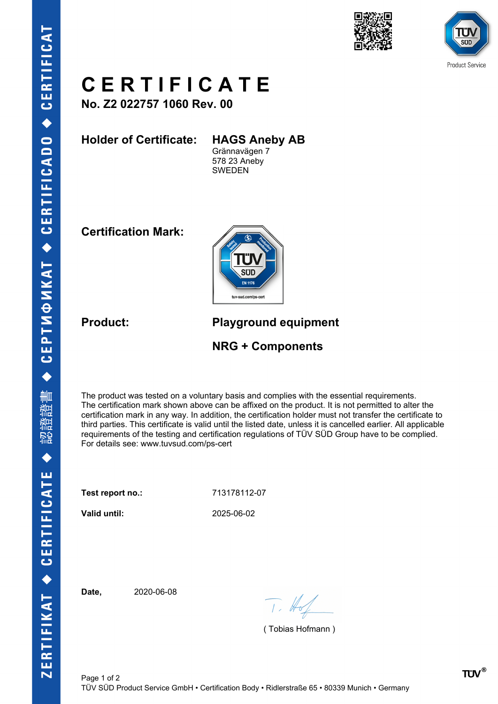



![](_page_0_Picture_2.jpeg)

## **C E R T I F I C A T E**

**No. Z2 022757 1060 Rev. 00**

**Holder of Certificate: HAGS Aneby AB**

Grännavägen 7 578 23 Aneby SWEDEN

**Certification Mark:**

![](_page_0_Picture_8.jpeg)

**Product: Playground equipment**

**NRG + Components**

The product was tested on a voluntary basis and complies with the essential requirements. The certification mark shown above can be affixed on the product. It is not permitted to alter the certification mark in any way. In addition, the certification holder must not transfer the certificate to third parties. This certificate is valid until the listed date, unless it is cancelled earlier. All applicable requirements of the testing and certification regulations of TÜV SÜD Group have to be complied. For details see: www.tuvsud.com/ps-cert

**Test report no.:** 713178112-07

**Valid until:** 2025-06-02

**Date,** 2020-06-08

 $T.$  Hot

( Tobias Hofmann )